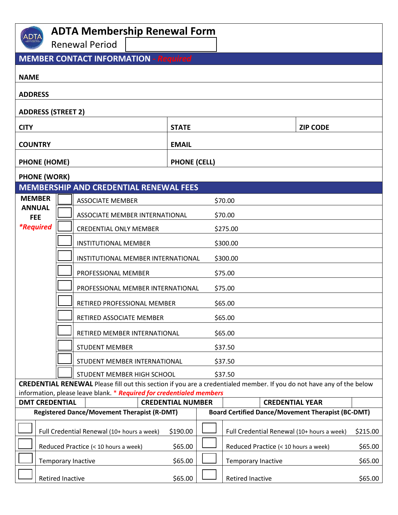| <b>ADTA Membership Renewal Form</b>     |                                                    |                                                                                                  |                     |                                                          |                                                                                                                              |          |  |  |  |  |
|-----------------------------------------|----------------------------------------------------|--------------------------------------------------------------------------------------------------|---------------------|----------------------------------------------------------|------------------------------------------------------------------------------------------------------------------------------|----------|--|--|--|--|
|                                         |                                                    | <b>Renewal Period</b>                                                                            |                     |                                                          |                                                                                                                              |          |  |  |  |  |
|                                         |                                                    | <b>MEMBER CONTACT INFORMATION - Required</b>                                                     |                     |                                                          |                                                                                                                              |          |  |  |  |  |
| <b>NAME</b>                             |                                                    |                                                                                                  |                     |                                                          |                                                                                                                              |          |  |  |  |  |
| <b>ADDRESS</b>                          |                                                    |                                                                                                  |                     |                                                          |                                                                                                                              |          |  |  |  |  |
| <b>ADDRESS (STREET 2)</b>               |                                                    |                                                                                                  |                     |                                                          |                                                                                                                              |          |  |  |  |  |
| <b>CITY</b>                             |                                                    |                                                                                                  | <b>STATE</b>        |                                                          | <b>ZIP CODE</b>                                                                                                              |          |  |  |  |  |
| <b>COUNTRY</b>                          |                                                    |                                                                                                  | <b>EMAIL</b>        |                                                          |                                                                                                                              |          |  |  |  |  |
| <b>PHONE (HOME)</b>                     |                                                    |                                                                                                  | <b>PHONE (CELL)</b> |                                                          |                                                                                                                              |          |  |  |  |  |
| <b>PHONE (WORK)</b>                     |                                                    |                                                                                                  |                     |                                                          |                                                                                                                              |          |  |  |  |  |
|                                         |                                                    | <b>MEMBERSHIP AND CREDENTIAL RENEWAL FEES</b>                                                    |                     |                                                          |                                                                                                                              |          |  |  |  |  |
| <b>MEMBER</b>                           |                                                    | <b>ASSOCIATE MEMBER</b>                                                                          |                     |                                                          | \$70.00                                                                                                                      |          |  |  |  |  |
| <b>ANNUAL</b><br><b>FEE</b>             |                                                    | ASSOCIATE MEMBER INTERNATIONAL                                                                   |                     |                                                          | \$70.00                                                                                                                      |          |  |  |  |  |
| <i><b>*Required</b></i>                 |                                                    | <b>CREDENTIAL ONLY MEMBER</b>                                                                    |                     |                                                          | \$275.00                                                                                                                     |          |  |  |  |  |
|                                         |                                                    | <b>INSTITUTIONAL MEMBER</b>                                                                      |                     |                                                          | \$300.00                                                                                                                     |          |  |  |  |  |
|                                         |                                                    | INSTITUTIONAL MEMBER INTERNATIONAL                                                               | \$300.00            |                                                          |                                                                                                                              |          |  |  |  |  |
|                                         |                                                    | PROFESSIONAL MEMBER                                                                              |                     |                                                          | \$75.00                                                                                                                      |          |  |  |  |  |
|                                         |                                                    | PROFESSIONAL MEMBER INTERNATIONAL                                                                |                     |                                                          | \$75.00                                                                                                                      |          |  |  |  |  |
|                                         |                                                    | RETIRED PROFESSIONAL MEMBER                                                                      |                     |                                                          | \$65.00                                                                                                                      |          |  |  |  |  |
|                                         |                                                    | RETIRED ASSOCIATE MEMBER                                                                         |                     |                                                          | \$65.00                                                                                                                      |          |  |  |  |  |
|                                         | RETIRED MEMBER INTERNATIONAL                       |                                                                                                  |                     | \$65.00                                                  |                                                                                                                              |          |  |  |  |  |
| <b>STUDENT MEMBER</b><br>\$37.50        |                                                    |                                                                                                  |                     |                                                          |                                                                                                                              |          |  |  |  |  |
| \$37.50<br>STUDENT MEMBER INTERNATIONAL |                                                    |                                                                                                  |                     |                                                          |                                                                                                                              |          |  |  |  |  |
|                                         |                                                    | STUDENT MEMBER HIGH SCHOOL                                                                       |                     |                                                          | \$37.50                                                                                                                      |          |  |  |  |  |
|                                         |                                                    |                                                                                                  |                     |                                                          | <b>CREDENTIAL RENEWAL</b> Please fill out this section if you are a credentialed member. If you do not have any of the below |          |  |  |  |  |
| <b>DMT CREDENTIAL</b>                   |                                                    | information, please leave blank. * Required for credentialed members<br><b>CREDENTIAL NUMBER</b> |                     | <b>CREDENTIAL YEAR</b>                                   |                                                                                                                              |          |  |  |  |  |
|                                         | <b>Registered Dance/Movement Therapist (R-DMT)</b> |                                                                                                  |                     | <b>Board Certified Dance/Movement Therapist (BC-DMT)</b> |                                                                                                                              |          |  |  |  |  |
|                                         |                                                    |                                                                                                  |                     |                                                          |                                                                                                                              |          |  |  |  |  |
|                                         |                                                    | Full Credential Renewal (10+ hours a week)                                                       | \$190.00            |                                                          | Full Credential Renewal (10+ hours a week)                                                                                   | \$215.00 |  |  |  |  |
|                                         |                                                    | Reduced Practice (< 10 hours a week)                                                             | \$65.00             |                                                          | Reduced Practice (< 10 hours a week)                                                                                         | \$65.00  |  |  |  |  |
|                                         |                                                    | Temporary Inactive                                                                               | \$65.00             |                                                          | <b>Temporary Inactive</b>                                                                                                    | \$65.00  |  |  |  |  |
|                                         | <b>Retired Inactive</b>                            |                                                                                                  | \$65.00             |                                                          | <b>Retired Inactive</b>                                                                                                      | \$65.00  |  |  |  |  |